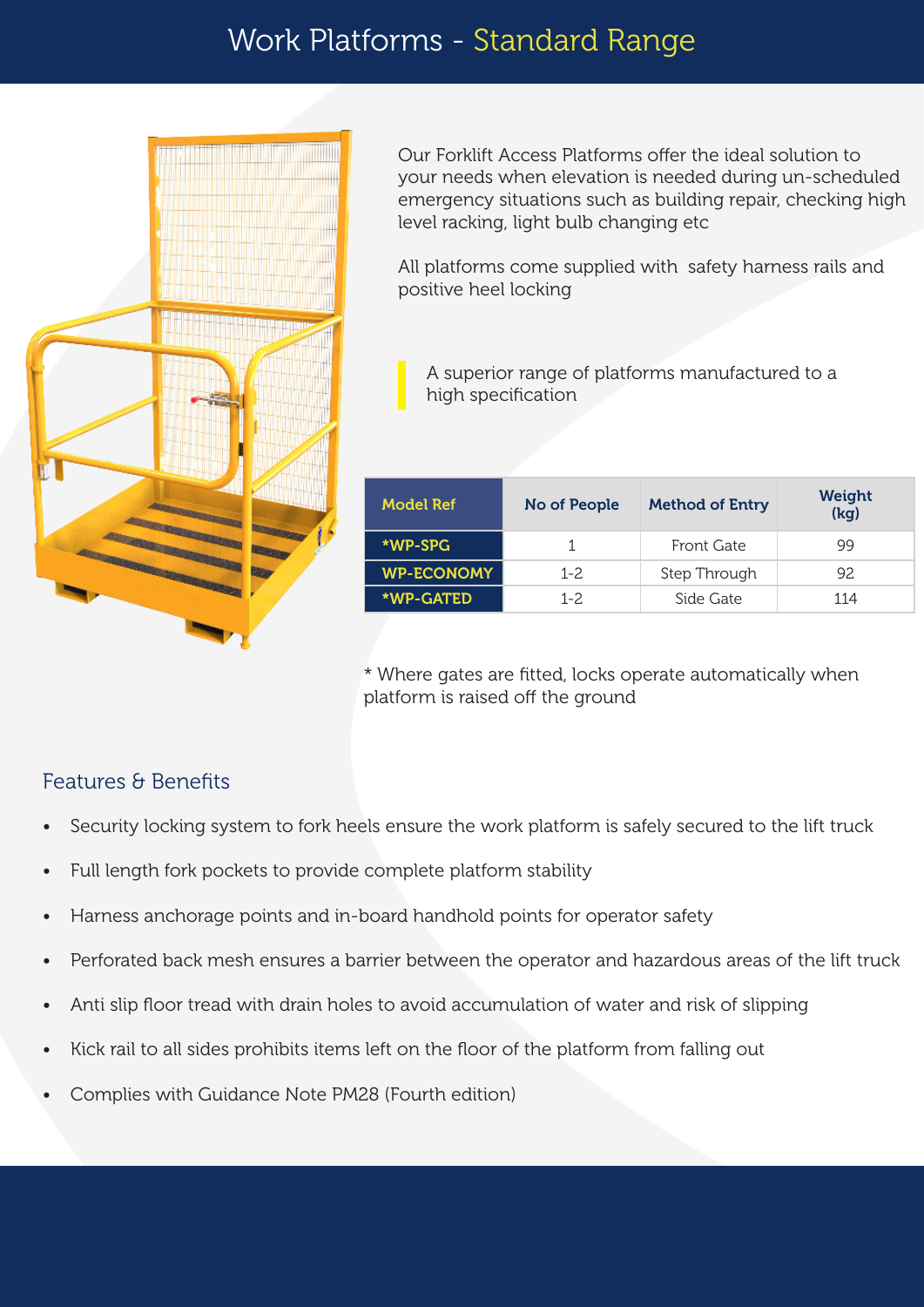

Our Forklift Access Platforms offer the ideal solution to your needs when elevation is needed during un-scheduled emergency situations such as building repair, checking high level racking, light bulb changing etc

All platforms come supplied with safety harness rails and positive heel locking

A superior range of platforms manufactured to a high specification

| <b>Model Ref</b>  | No of People | <b>Method of Entry</b> | <b>Weight</b><br>(kq) |  |
|-------------------|--------------|------------------------|-----------------------|--|
| *WP-SPG           |              | Front Gate             | 99                    |  |
| <b>WP-ECONOMY</b> | $1 - 2$      | Step Through           | 92                    |  |
| *WP-GATED         | $1 - 2.$     | Side Gate              | 114                   |  |

\* Where gates are fitted, locks operate automatically when platform is raised off the ground

## Features & Benefits

- Security locking system to fork heels ensure the work platform is safely secured to the lift truck
- Full length fork pockets to provide complete platform stability
- Harness anchorage points and in-board handhold points for operator safety
- Perforated back mesh ensures a barrier between the operator and hazardous areas of the lift truck
- Anti slip floor tread with drain holes to avoid accumulation of water and risk of slipping
- Kick rail to all sides prohibits items left on the floor of the platform from falling out
- Complies with Guidance Note PM28 (Fourth edition)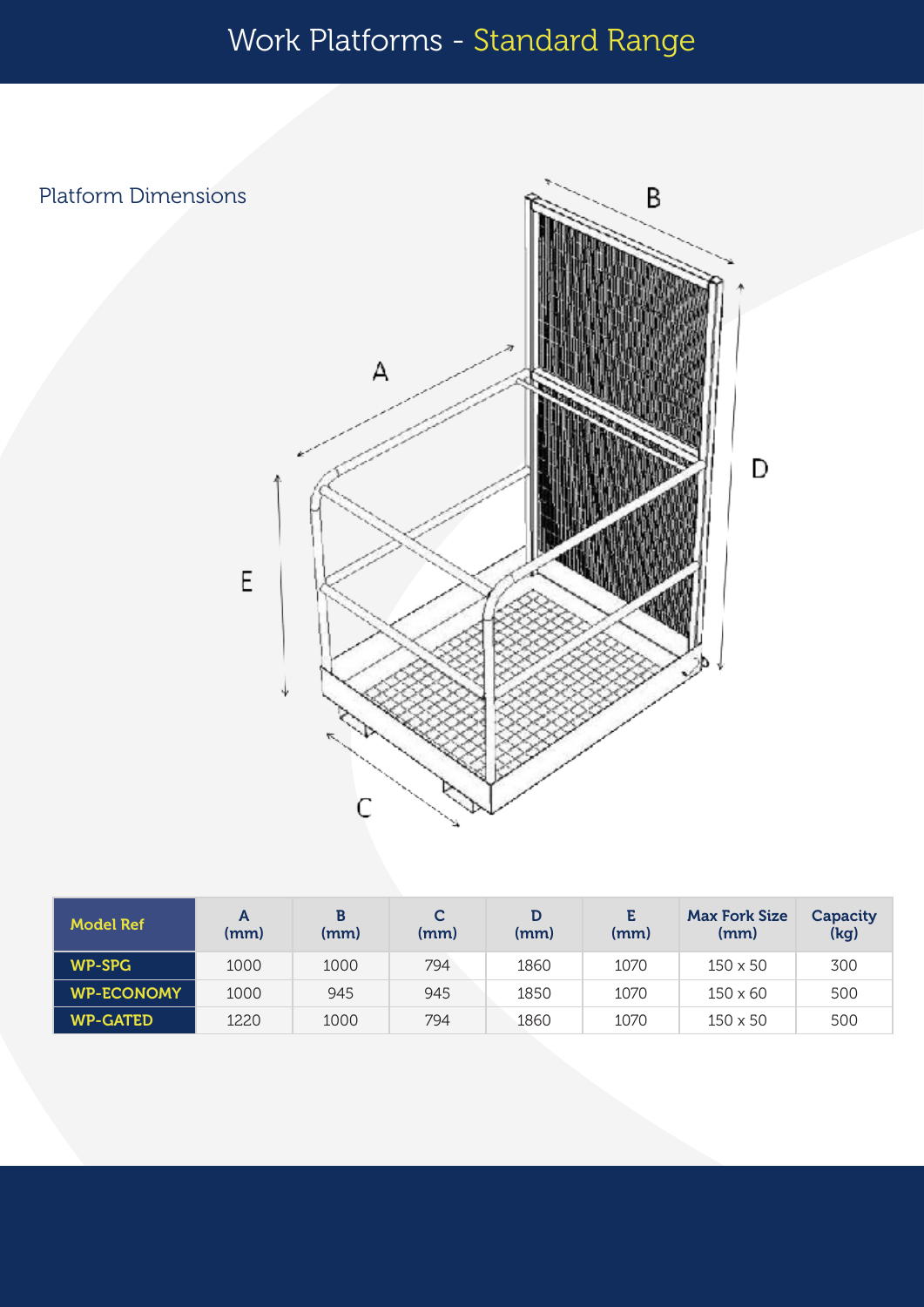## Work Platforms - Standard Range

B Platform Dimensions  $\mathsf A$ D  $E$  $\mathsf{C}$ 

| Model Ref         | A<br>(mm) | В<br>(mm) | C<br>(mm) | (mm) | E.<br>(mm) | <b>Max Fork Size</b><br>(mm) | Capacity<br>(kg) |
|-------------------|-----------|-----------|-----------|------|------------|------------------------------|------------------|
| <b>WP-SPG</b>     | 1000      | 1000      | 794       | 1860 | 1070       | $150 \times 50$              | 300              |
| <b>WP-ECONOMY</b> | 1000      | 945       | 945       | 1850 | 1070       | $150 \times 60$              | 500              |
| <b>WP-GATED</b>   | 1220      | 1000      | 794       | 1860 | 1070       | $150 \times 50$              | 500              |